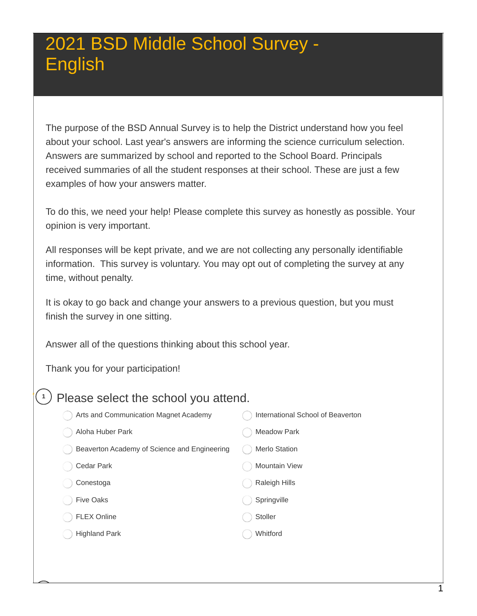The purpose of the BSD Annual Survey is to help the District understand how you feel about your school. Last year's answers are informing the science curriculum selection. Answers are summarized by school and reported to the School Board. Principals received summaries of all the student responses at their school. These are just a few examples of how your answers matter.

 To do this, we need your help! Please complete this survey as honestly as possible. Your opinion is very important.

 All responses will be kept private, and we are not collecting any personally identifiable information. This survey is voluntary. You may opt out of completing the survey at any time, without penalty.

 It is okay to go back and change your answers to a previous question, but you must finish the survey in one sitting.

Answer all of the questions thinking about this school year.

Thank you for your participation!

#### $(1)$  Please select the school you attend.

| Arts and Communication Magnet Academy        | International School of Beaverton |
|----------------------------------------------|-----------------------------------|
| Aloha Huber Park                             | <b>Meadow Park</b>                |
| Beaverton Academy of Science and Engineering | <b>Merlo Station</b>              |
| Cedar Park                                   | <b>Mountain View</b>              |
| Conestoga                                    | <b>Raleigh Hills</b>              |
| <b>Five Oaks</b>                             | Springville                       |
| <b>FLEX Online</b>                           | Stoller                           |
| <b>Highland Park</b>                         | Whitford                          |
|                                              |                                   |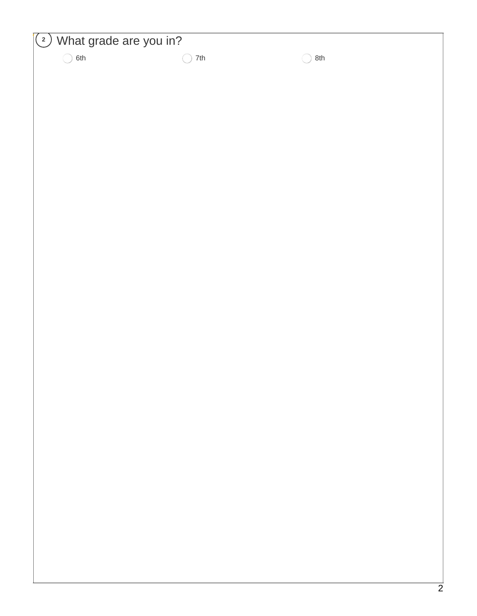| What grade are you in?<br>$\binom{2}{ }$ |     |          |   |
|------------------------------------------|-----|----------|---|
| 6th<br>◯                                 | 7th | 8th<br>( |   |
|                                          |     |          |   |
|                                          |     |          |   |
|                                          |     |          |   |
|                                          |     |          |   |
|                                          |     |          |   |
|                                          |     |          |   |
|                                          |     |          |   |
|                                          |     |          |   |
|                                          |     |          |   |
|                                          |     |          |   |
|                                          |     |          |   |
|                                          |     |          |   |
|                                          |     |          |   |
|                                          |     |          |   |
|                                          |     |          |   |
|                                          |     |          |   |
|                                          |     |          |   |
|                                          |     |          |   |
|                                          |     |          |   |
|                                          |     |          |   |
|                                          |     |          |   |
|                                          |     |          |   |
|                                          |     |          |   |
|                                          |     |          |   |
|                                          |     |          |   |
|                                          |     |          |   |
|                                          |     |          | C |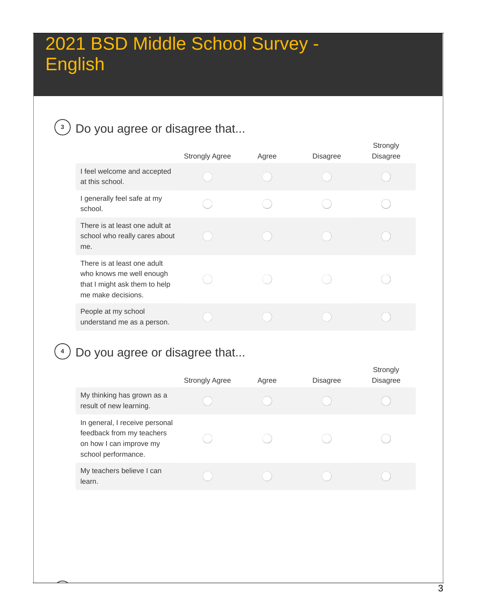### **<sup>3</sup>** Do you agree or disagree that...

|                                                                                                                | <b>Strongly Agree</b> | Agree | <b>Disagree</b> | Strongly<br><b>Disagree</b> |
|----------------------------------------------------------------------------------------------------------------|-----------------------|-------|-----------------|-----------------------------|
| I feel welcome and accepted<br>at this school.                                                                 |                       |       |                 |                             |
| I generally feel safe at my<br>school.                                                                         |                       |       |                 |                             |
| There is at least one adult at<br>school who really cares about<br>me.                                         |                       |       |                 |                             |
| There is at least one adult<br>who knows me well enough<br>that I might ask them to help<br>me make decisions. |                       |       |                 |                             |
| People at my school<br>understand me as a person.                                                              |                       |       |                 |                             |

#### **<sup>4</sup>** Do you agree or disagree that...

|                                                                                                               | <b>Strongly Agree</b> | Agree | <b>Disagree</b> | Strongly<br><b>Disagree</b> |
|---------------------------------------------------------------------------------------------------------------|-----------------------|-------|-----------------|-----------------------------|
| My thinking has grown as a<br>result of new learning.                                                         |                       |       |                 |                             |
| In general, I receive personal<br>feedback from my teachers<br>on how I can improve my<br>school performance. |                       |       |                 |                             |
| My teachers believe I can<br>learn.                                                                           |                       |       |                 |                             |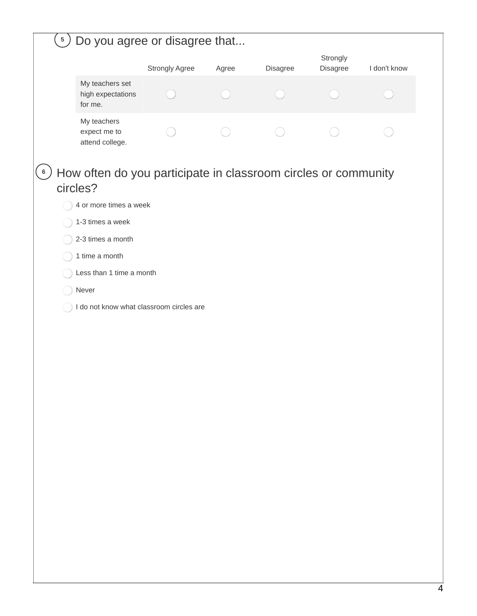| $\left(5\right)$ | Do you agree or disagree that                                              |                       |       |          |                      |              |
|------------------|----------------------------------------------------------------------------|-----------------------|-------|----------|----------------------|--------------|
|                  |                                                                            | <b>Strongly Agree</b> | Agree | Disagree | Strongly<br>Disagree | I don't know |
|                  | My teachers set<br>high expectations<br>for me.                            |                       |       |          |                      |              |
|                  | My teachers<br>expect me to<br>attend college.                             |                       |       |          |                      |              |
| $\,$ 6 $\,$      | How often do you participate in classroom circles or community<br>circles? |                       |       |          |                      |              |
|                  | 4 or more times a week                                                     |                       |       |          |                      |              |
|                  | 1-3 times a week                                                           |                       |       |          |                      |              |
|                  | 2-3 times a month                                                          |                       |       |          |                      |              |
|                  | 1 time a month                                                             |                       |       |          |                      |              |
|                  | Less than 1 time a month                                                   |                       |       |          |                      |              |
|                  | Never                                                                      |                       |       |          |                      |              |
|                  | I do not know what classroom circles are                                   |                       |       |          |                      |              |
|                  |                                                                            |                       |       |          |                      |              |
|                  |                                                                            |                       |       |          |                      |              |
|                  |                                                                            |                       |       |          |                      |              |
|                  |                                                                            |                       |       |          |                      |              |
|                  |                                                                            |                       |       |          |                      |              |
|                  |                                                                            |                       |       |          |                      |              |
|                  |                                                                            |                       |       |          |                      |              |
|                  |                                                                            |                       |       |          |                      |              |
|                  |                                                                            |                       |       |          |                      |              |
|                  |                                                                            |                       |       |          |                      |              |
|                  |                                                                            |                       |       |          |                      |              |
|                  |                                                                            |                       |       |          |                      |              |
|                  |                                                                            |                       |       |          |                      |              |
|                  |                                                                            |                       |       |          |                      |              |
|                  |                                                                            |                       |       |          |                      |              |
|                  |                                                                            |                       |       |          |                      |              |
|                  |                                                                            |                       |       |          |                      |              |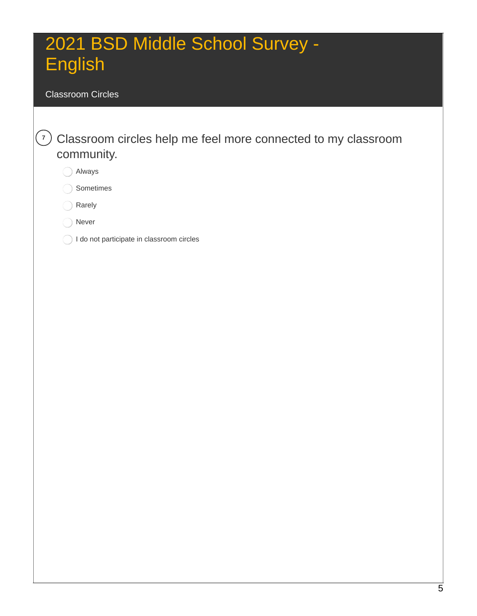#### Classroom Circles

 **<sup>7</sup>** Classroom circles help me feel more connected to my classroom community.

Always

Sometimes

Rarely

Never

I do not participate in classroom circles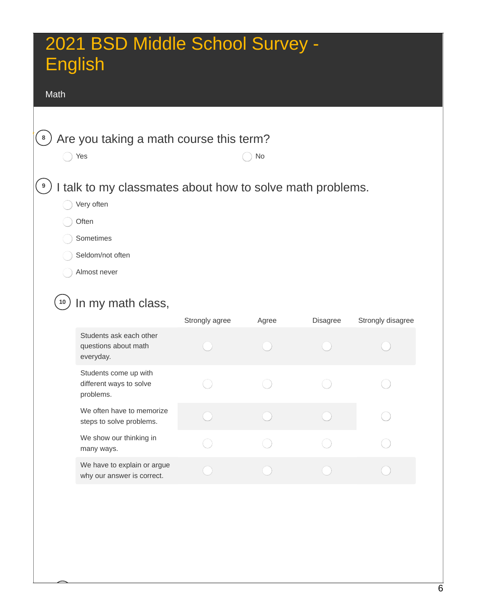#### Math

 $\left( \begin{matrix} \circ \\ \circ \end{matrix} \right)$  Are you taking a math course this term?

 $\bigcirc$  Yes  $\bigcirc$  No

#### **<sup>9</sup>** I talk to my classmates about how to solve math problems.

◯ Very often

**Often** 

Sometimes

Seldom/not often

Almost never

### **<sup>10</sup>** In my math class,

|                                                               | Strongly agree | Agree | Disagree | Strongly disagree |
|---------------------------------------------------------------|----------------|-------|----------|-------------------|
| Students ask each other<br>questions about math<br>everyday.  |                |       |          |                   |
| Students come up with<br>different ways to solve<br>problems. |                |       |          |                   |
| We often have to memorize<br>steps to solve problems.         |                |       |          |                   |
| We show our thinking in<br>many ways.                         |                |       |          |                   |
| We have to explain or argue<br>why our answer is correct.     |                |       |          |                   |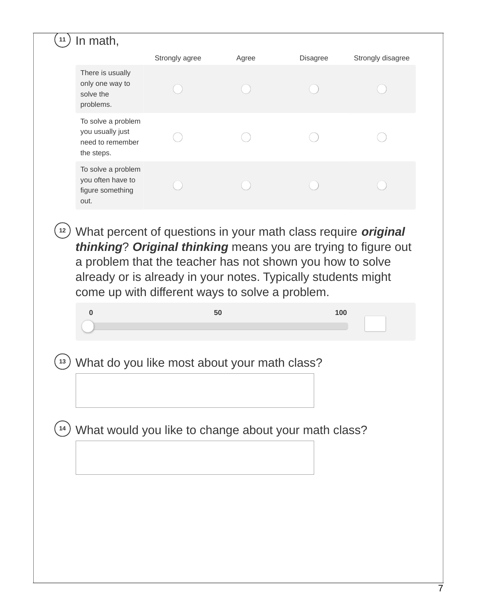| There is usually<br>only one way to<br>solve the<br>problems.<br>To solve a problem<br>you usually just<br>need to remember<br>the steps.<br>To solve a problem<br>you often have to<br>figure something<br>out.<br>What percent of questions in your math class require original<br>12<br>thinking? Original thinking means you are trying to figure out<br>a problem that the teacher has not shown you how to solve<br>already or is already in your notes. Typically students might<br>come up with different ways to solve a problem.<br>$\bf{0}$<br>50<br>100<br>What do you like most about your math class?<br>13<br>What would you like to change about your math class?<br>14 | Strongly agree | Agree | Disagree | Strongly disagree |
|-----------------------------------------------------------------------------------------------------------------------------------------------------------------------------------------------------------------------------------------------------------------------------------------------------------------------------------------------------------------------------------------------------------------------------------------------------------------------------------------------------------------------------------------------------------------------------------------------------------------------------------------------------------------------------------------|----------------|-------|----------|-------------------|
|                                                                                                                                                                                                                                                                                                                                                                                                                                                                                                                                                                                                                                                                                         |                |       |          |                   |
|                                                                                                                                                                                                                                                                                                                                                                                                                                                                                                                                                                                                                                                                                         |                |       |          |                   |
|                                                                                                                                                                                                                                                                                                                                                                                                                                                                                                                                                                                                                                                                                         |                |       |          |                   |
|                                                                                                                                                                                                                                                                                                                                                                                                                                                                                                                                                                                                                                                                                         |                |       |          |                   |
|                                                                                                                                                                                                                                                                                                                                                                                                                                                                                                                                                                                                                                                                                         |                |       |          |                   |
|                                                                                                                                                                                                                                                                                                                                                                                                                                                                                                                                                                                                                                                                                         |                |       |          |                   |
|                                                                                                                                                                                                                                                                                                                                                                                                                                                                                                                                                                                                                                                                                         |                |       |          |                   |
|                                                                                                                                                                                                                                                                                                                                                                                                                                                                                                                                                                                                                                                                                         |                |       |          |                   |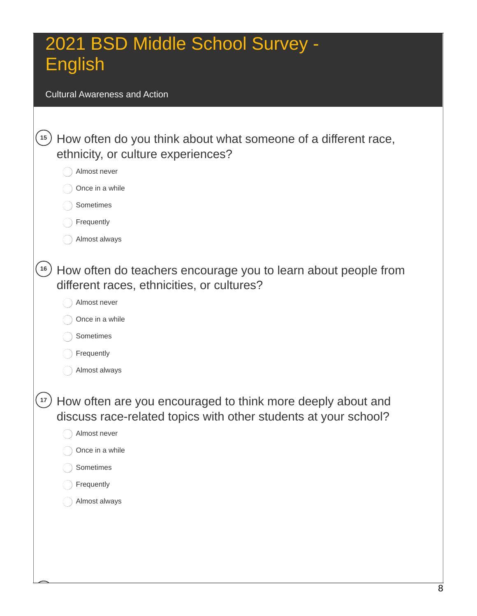Cultural Awareness and Action

| How often do you think about what someone of a different race,                                                                 |
|--------------------------------------------------------------------------------------------------------------------------------|
|                                                                                                                                |
|                                                                                                                                |
|                                                                                                                                |
|                                                                                                                                |
|                                                                                                                                |
|                                                                                                                                |
| How often do teachers encourage you to learn about people from                                                                 |
|                                                                                                                                |
|                                                                                                                                |
|                                                                                                                                |
|                                                                                                                                |
|                                                                                                                                |
| How often are you encouraged to think more deeply about and<br>discuss race-related topics with other students at your school? |
|                                                                                                                                |
|                                                                                                                                |
|                                                                                                                                |
|                                                                                                                                |
|                                                                                                                                |
|                                                                                                                                |
|                                                                                                                                |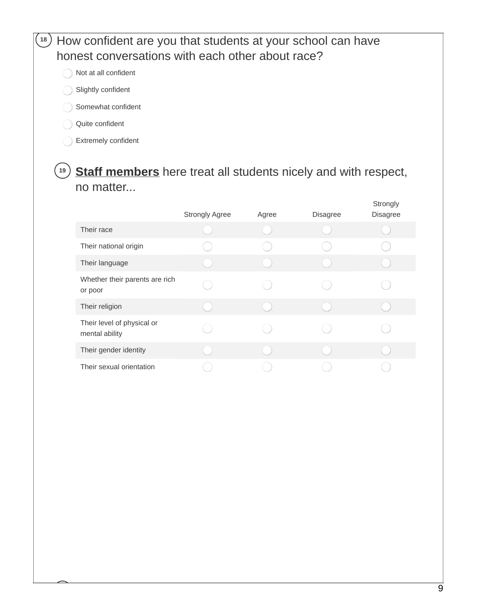#### **<sup>18</sup>** How confident are you that students at your school can have honest conversations with each other about race?

- Not at all confident
- Slightly confident
- Somewhat confident
- Quite confident
- Extremely confident

#### **<sup>19</sup> Staff members** here treat all students nicely and with respect, no matter...

|                                              | <b>Strongly Agree</b> | Agree | Disagree | Strongly<br>Disagree |
|----------------------------------------------|-----------------------|-------|----------|----------------------|
| Their race                                   |                       |       |          |                      |
| Their national origin                        |                       |       |          |                      |
| Their language                               |                       |       |          |                      |
| Whether their parents are rich<br>or poor    |                       |       |          |                      |
| Their religion                               |                       |       |          |                      |
| Their level of physical or<br>mental ability |                       |       |          |                      |
| Their gender identity                        |                       |       |          |                      |
| Their sexual orientation                     |                       |       |          |                      |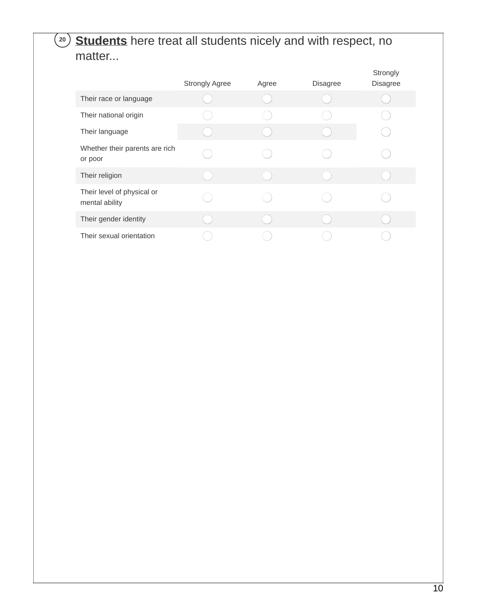#### **<sup>20</sup> Students** here treat all students nicely and with respect, no matter...

|                                              | <b>Strongly Agree</b> | Agree | <b>Disagree</b> | Strongly<br><b>Disagree</b> |
|----------------------------------------------|-----------------------|-------|-----------------|-----------------------------|
| Their race or language                       |                       |       |                 |                             |
| Their national origin                        |                       |       |                 |                             |
| Their language                               |                       |       |                 |                             |
| Whether their parents are rich<br>or poor    |                       |       |                 |                             |
| Their religion                               |                       |       |                 |                             |
| Their level of physical or<br>mental ability |                       |       |                 |                             |
| Their gender identity                        |                       |       |                 |                             |
| Their sexual orientation                     |                       |       |                 |                             |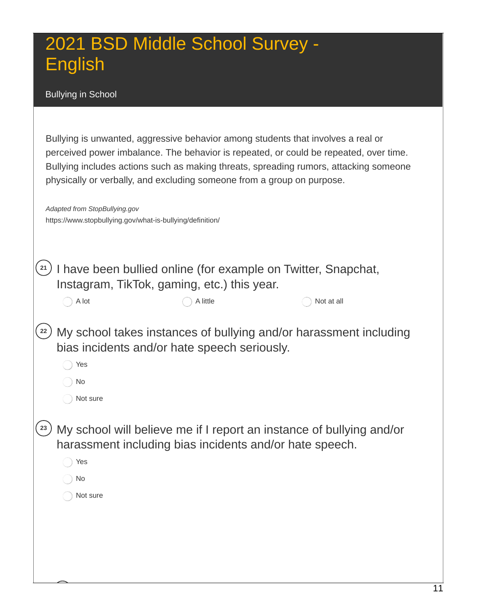Bullying in School

| Bullying is unwanted, aggressive behavior among students that involves a real or<br>perceived power imbalance. The behavior is repeated, or could be repeated, over time.<br>Bullying includes actions such as making threats, spreading rumors, attacking someone<br>physically or verbally, and excluding someone from a group on purpose.<br>Adapted from StopBullying.gov |  |
|-------------------------------------------------------------------------------------------------------------------------------------------------------------------------------------------------------------------------------------------------------------------------------------------------------------------------------------------------------------------------------|--|
| https://www.stopbullying.gov/what-is-bullying/definition/                                                                                                                                                                                                                                                                                                                     |  |
| I have been bullied online (for example on Twitter, Snapchat,<br>Instagram, TikTok, gaming, etc.) this year.                                                                                                                                                                                                                                                                  |  |
| A lot<br>A little<br>Not at all                                                                                                                                                                                                                                                                                                                                               |  |
| My school takes instances of bullying and/or harassment including<br>22<br>bias incidents and/or hate speech seriously.<br>Yes<br>No<br>Not sure                                                                                                                                                                                                                              |  |
| My school will believe me if I report an instance of bullying and/or<br>23<br>harassment including bias incidents and/or hate speech.<br>Yes<br>No<br>Not sure                                                                                                                                                                                                                |  |
|                                                                                                                                                                                                                                                                                                                                                                               |  |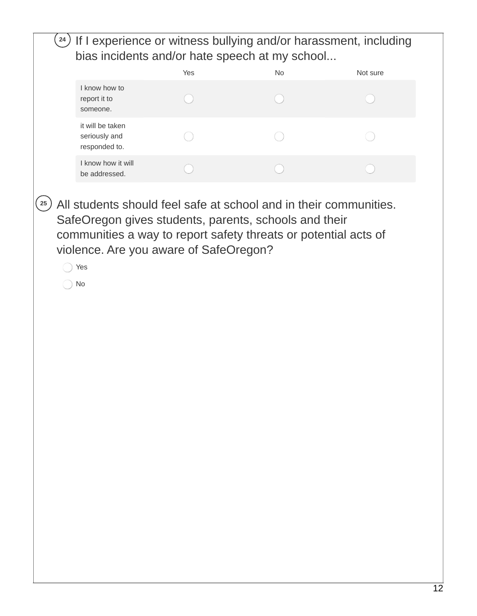| bias incidents and/or hate speech at my school     |     |           |          |
|----------------------------------------------------|-----|-----------|----------|
|                                                    | Yes | <b>No</b> | Not sure |
| I know how to<br>report it to<br>someone.          |     |           |          |
| it will be taken<br>seriously and<br>responded to. |     |           |          |
| I know how it will<br>be addressed.                |     |           |          |
|                                                    |     |           |          |
|                                                    |     |           |          |
|                                                    |     |           |          |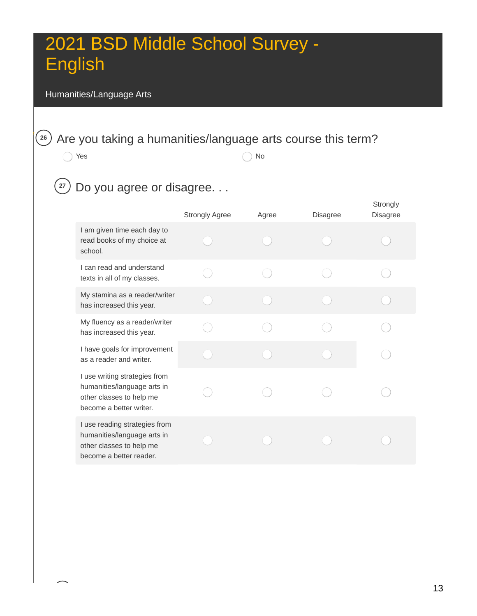#### Humanities/Language Arts

### $\left| \begin{matrix} 26 \end{matrix} \right|$  Are you taking a humanities/language arts course this term?

 $\bigcap$  Yes  $\bigcap$  No

### **<sup>27</sup>** Do you agree or disagree. . .

|                                                                                                                     | <b>Strongly Agree</b> | Agree | <b>Disagree</b> | Strongly<br><b>Disagree</b> |
|---------------------------------------------------------------------------------------------------------------------|-----------------------|-------|-----------------|-----------------------------|
| I am given time each day to<br>read books of my choice at<br>school.                                                |                       |       |                 |                             |
| I can read and understand<br>texts in all of my classes.                                                            |                       |       |                 |                             |
| My stamina as a reader/writer<br>has increased this year.                                                           |                       |       |                 |                             |
| My fluency as a reader/writer<br>has increased this year.                                                           |                       |       |                 |                             |
| I have goals for improvement<br>as a reader and writer.                                                             |                       |       |                 |                             |
| I use writing strategies from<br>humanities/language arts in<br>other classes to help me<br>become a better writer. |                       |       |                 |                             |
| I use reading strategies from<br>humanities/language arts in<br>other classes to help me<br>become a better reader. |                       |       |                 |                             |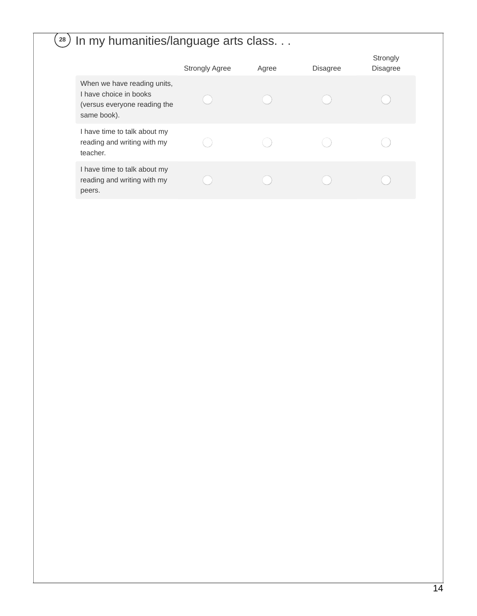### **<sup>28</sup>** In my humanities/language arts class. . .

|                                                                                                      | <b>Strongly Agree</b> | Agree | <b>Disagree</b> | Strongly<br><b>Disagree</b> |
|------------------------------------------------------------------------------------------------------|-----------------------|-------|-----------------|-----------------------------|
| When we have reading units,<br>I have choice in books<br>(versus everyone reading the<br>same book). |                       |       |                 |                             |
| I have time to talk about my<br>reading and writing with my<br>teacher.                              |                       |       |                 |                             |
| I have time to talk about my<br>reading and writing with my<br>peers.                                |                       |       |                 |                             |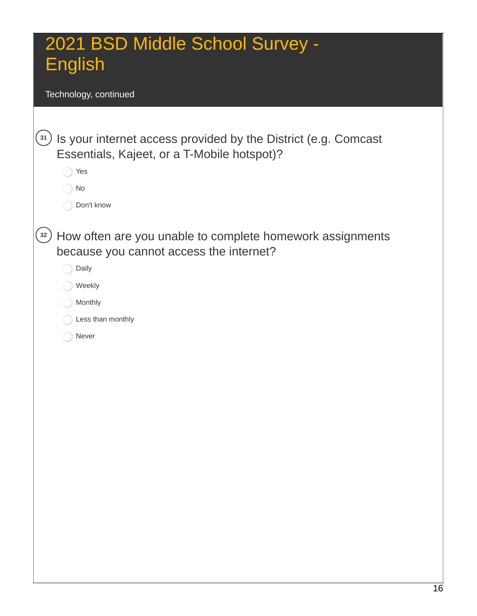Technology, continued

| $\begin{bmatrix} 31 \end{bmatrix}$ | Is your internet access provided by the District (e.g. Comcast |
|------------------------------------|----------------------------------------------------------------|
|                                    | Essentials, Kajeet, or a T-Mobile hotspot)?                    |
|                                    | Yes                                                            |
|                                    | No                                                             |
|                                    | Don't know                                                     |
|                                    |                                                                |
| 32                                 | How often are you unable to complete homework assignments      |
|                                    | because you cannot access the internet?                        |
|                                    | Daily                                                          |
|                                    | Weekly                                                         |
|                                    | Monthly                                                        |
|                                    | Less than monthly                                              |
|                                    | Never                                                          |
|                                    |                                                                |
|                                    |                                                                |
|                                    |                                                                |
|                                    |                                                                |
|                                    |                                                                |
|                                    |                                                                |
|                                    |                                                                |
|                                    |                                                                |
|                                    |                                                                |
|                                    |                                                                |
|                                    |                                                                |
|                                    |                                                                |
|                                    |                                                                |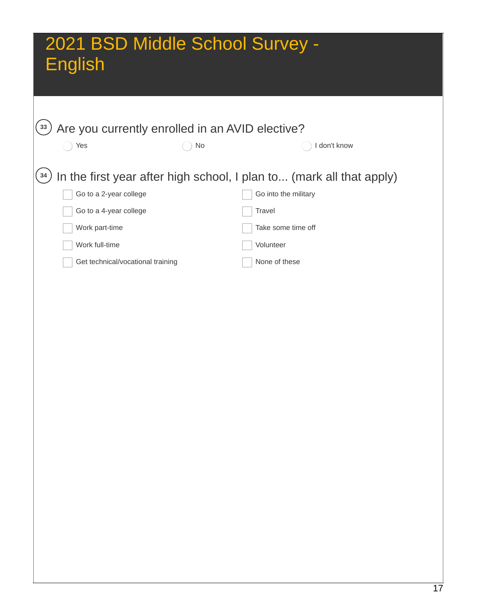| 33 <sup>°</sup> | Are you currently enrolled in an AVID elective? |    |                                                                      |  |
|-----------------|-------------------------------------------------|----|----------------------------------------------------------------------|--|
|                 | Yes                                             | No | I don't know                                                         |  |
|                 |                                                 |    |                                                                      |  |
| 34              |                                                 |    | In the first year after high school, I plan to (mark all that apply) |  |
|                 | Go to a 2-year college                          |    | Go into the military                                                 |  |
|                 | Go to a 4-year college                          |    | Travel                                                               |  |
|                 | Work part-time                                  |    | Take some time off                                                   |  |
|                 | Work full-time                                  |    | Volunteer                                                            |  |
|                 | Get technical/vocational training               |    | None of these                                                        |  |
|                 |                                                 |    |                                                                      |  |
|                 |                                                 |    |                                                                      |  |
|                 |                                                 |    |                                                                      |  |
|                 |                                                 |    |                                                                      |  |
|                 |                                                 |    |                                                                      |  |
|                 |                                                 |    |                                                                      |  |
|                 |                                                 |    |                                                                      |  |
|                 |                                                 |    |                                                                      |  |
|                 |                                                 |    |                                                                      |  |
|                 |                                                 |    |                                                                      |  |
|                 |                                                 |    |                                                                      |  |
|                 |                                                 |    |                                                                      |  |
|                 |                                                 |    |                                                                      |  |
|                 |                                                 |    |                                                                      |  |
|                 |                                                 |    |                                                                      |  |
|                 |                                                 |    |                                                                      |  |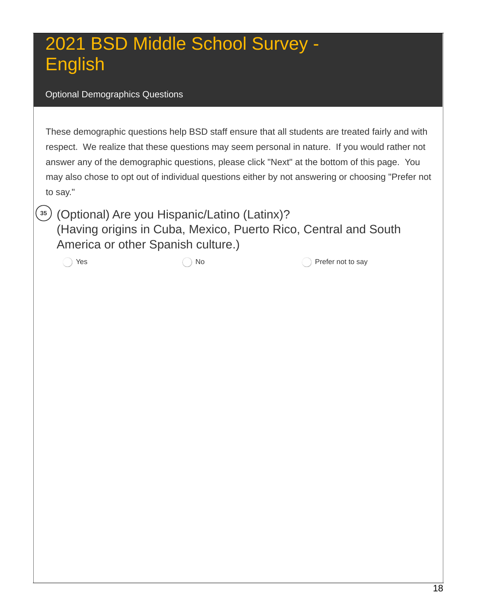#### Optional Demographics Questions

 These demographic questions help BSD staff ensure that all students are treated fairly and with respect. We realize that these questions may seem personal in nature. If you would rather not answer any of the demographic questions, please click "Next" at the bottom of this page. You may also chose to opt out of individual questions either by not answering or choosing "Prefer not to say."

 (Optional) Are you Hispanic/Latino (Latinx)? (Having origins in Cuba, Mexico, Puerto Rico, Central and South America or other Spanish culture.)

 $\left(35\right)$ 

Yes  $\bigcirc$  No  $\bigcirc$  Prefer not to say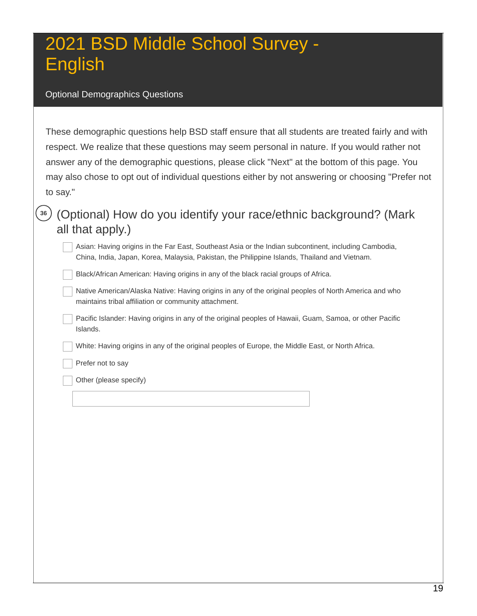#### Optional Demographics Questions

 These demographic questions help BSD staff ensure that all students are treated fairly and with respect. We realize that these questions may seem personal in nature. If you would rather not answer any of the demographic questions, please click "Next" at the bottom of this page. You may also chose to opt out of individual questions either by not answering or choosing "Prefer not to say."

#### **<sup>36</sup>** (Optional) How do you identify your race/ethnic background? (Mark all that apply.)

 Asian: Having origins in the Far East, Southeast Asia or the Indian subcontinent, including Cambodia, China, India, Japan, Korea, Malaysia, Pakistan, the Philippine Islands, Thailand and Vietnam.

Black/African American: Having origins in any of the black racial groups of Africa.

 Native American/Alaska Native: Having origins in any of the original peoples of North America and who maintains tribal affiliation or community attachment.

 Pacific Islander: Having origins in any of the original peoples of Hawaii, Guam, Samoa, or other Pacific Islands.

White: Having origins in any of the original peoples of Europe, the Middle East, or North Africa.

Prefer not to say

Other (please specify)